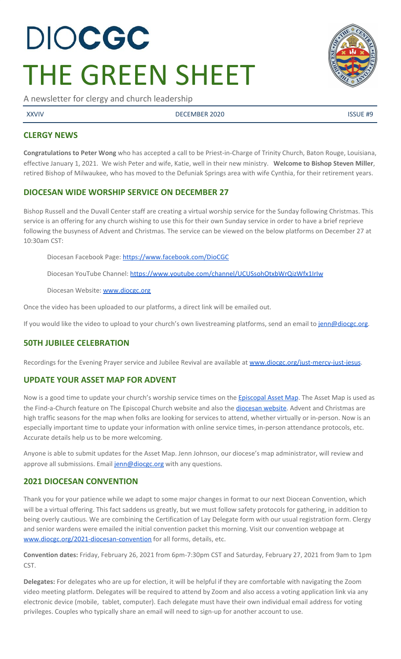# DIOCGC THE GREEN SHEET

A newsletter for clergy and church leadership

XXVIV DECEMBER 2020 ISSUE #9

# **CLERGY NEWS**

**Congratulations to Peter Wong** who has accepted a call to be Priest-in-Charge of Trinity Church, Baton Rouge, Louisiana, effective January 1, 2021. We wish Peter and wife, Katie, well in their new ministry. **Welcome to Bishop Steven Miller**, retired Bishop of Milwaukee, who has moved to the Defuniak Springs area with wife Cynthia, for their retirement years.

# **DIOCESAN WIDE WORSHIP SERVICE ON DECEMBER 27**

Bishop Russell and the Duvall Center staff are creating a virtual worship service for the Sunday following Christmas. This service is an offering for any church wishing to use this for their own Sunday service in order to have a brief reprieve following the busyness of Advent and Christmas. The service can be viewed on the below platforms on December 27 at 10:30am CST:

Diocesan Facebook Page: <https://www.facebook.com/DioCGC>

Diocesan YouTube Channel: <https://www.youtube.com/channel/UCUSsohOtxbWrQizWfx1IrIw>

Diocesan Website: [www.diocgc.org](http://www.diocgc.org/)

Once the video has been uploaded to our platforms, a direct link will be emailed out.

If you would like the video to upload to your church's own livestreaming platforms, send an email to [jenn@diocgc.org.](mailto:jenn@diocgc.org)

# **50TH JUBILEE CELEBRATION**

Recordings for the Evening Prayer service and Jubilee Revival are available at [www.diocgc.org/just-mercy-just-jesus](http://www.diocgc.org/just-mercy-just-jesus).

# **UPDATE YOUR ASSET MAP FOR ADVENT**

Now is a good time to update your church's worship service times on the [Episcopal](https://www.episcopalassetmap.org/dioceses/diocese-central-gulf-coast) Asset Map. The Asset Map is used as the Find-a-Church feature on The Episcopal Church website and also the [diocesan](https://www.diocgc.org/find-a-church) website. Advent and Christmas are high traffic seasons for the map when folks are looking for services to attend, whether virtually or in-person. Now is an especially important time to update your information with online service times, in-person attendance protocols, etc. Accurate details help us to be more welcoming.

Anyone is able to submit updates for the Asset Map. Jenn Johnson, our diocese's map administrator, will review and approve all submissions. Email [jenn@diocgc.org](mailto:jenn@diocgc.org) with any questions.

# **2021 DIOCESAN CONVENTION**

Thank you for your patience while we adapt to some major changes in format to our next Diocean Convention, which will be a virtual offering. This fact saddens us greatly, but we must follow safety protocols for gathering, in addition to being overly cautious. We are combining the Certification of Lay Delegate form with our usual registration form. Clergy and senior wardens were emailed the initial convention packet this morning. Visit our convention webpage at [www.diocgc.org/2021-diocesan-convention](http://www.diocgc.org/2021-diocesan-convention) for all forms, details, etc.

**Convention dates:** Friday, February 26, 2021 from 6pm-7:30pm CST and Saturday, February 27, 2021 from 9am to 1pm CST.

**Delegates:** For delegates who are up for election, it will be helpful if they are comfortable with navigating the Zoom video meeting platform. Delegates will be required to attend by Zoom and also access a voting application link via any electronic device (mobile, tablet, computer). Each delegate must have their own individual email address for voting privileges. Couples who typically share an email will need to sign-up for another account to use.

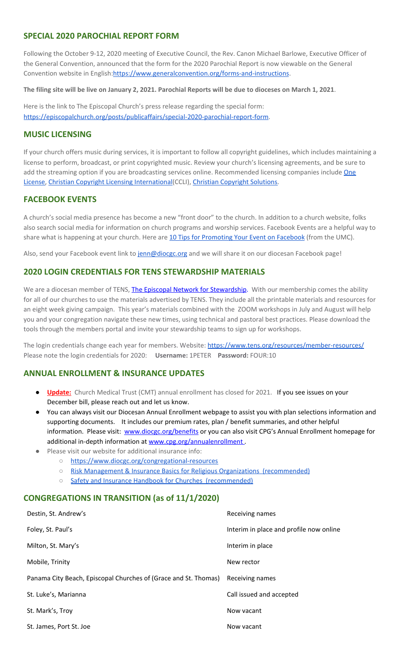#### **SPECIAL 2020 PAROCHIAL REPORT FORM**

Following the October 9-12, 2020 meeting of Executive Council, the Rev. Canon Michael Barlowe, Executive Officer of the General Convention, announced that the form for the 2020 Parochial Report is now viewable on the General Convention website in English[:https://www.generalconvention.org/forms-and-instructions](https://www.generalconvention.org/forms-and-instructions).

The filing site will be live on January 2, 2021. Parochial Reports will be due to dioceses on March 1, 2021.

Here is the link to The Episcopal Church's press release regarding the special form: <https://episcopalchurch.org/posts/publicaffairs/special-2020-parochial-report-form>.

#### **MUSIC LICENSING**

If your church offers music during services, it is important to follow all copyright guidelines, which includes maintaining a license to perform, broadcast, or print copyrighted music. Review your church's licensing agreements, and be sure to add the streaming option if you are broadcasting services online. Recommended licensing companies include [One](https://onelicense.net/) [License,](https://onelicense.net/) Christian Copyright Licensing [International](https://us.ccli.com/)(CCLI), Christian [Copyright](https://christiancopyrightsolutions.com/) Solutions.

#### **FACEBOOK EVENTS**

A church's social media presence has become a new "front door" to the church. In addition to a church website, folks also search social media for information on church programs and worship services. Facebook Events are a helpful way to share what is happening at your church. Here are 10 Tips for [Promoting](https://www.resourceumc.org/en/content/10-tips-for-promoting-your-event-on-facebook) Your Event on Facebook (from the UMC).

Also, send your Facebook event link to [jenn@diocgc.org](mailto:jenn@diocgc.org) and we will share it on our diocesan Facebook page!

#### **2020 LOGIN CREDENTIALS FOR TENS STEWARDSHIP MATERIALS**

We are a diocesan member of [T](http://r20.rs6.net/tn.jsp?f=0012pqt_t4bfTKnRF8Xmufb-M4Ry8JkNpVzuf-DfMr466n2fJlrEabEgWXavWDn2Hx3i5ph5cMsQu0KkvBM2IIao7IcazXgBLtGdZrXLuo4poO7i2eq_EiuExGDSC-wd1a3AjKcDRDPj18=&c=9_JBIUfw9Y9WIzA02dVBmW_Dc5eF3SbOEA5-vLB-MbLj0nQWfaMvNg==&ch=bNQQUmRhILUjCbu1RkHCQ0rqqsD1-RBYprcIQ3NuhLlaKPcsXS1TyQ==)ENS, The Episcopal Network for [Stewardship](http://r20.rs6.net/tn.jsp?f=0012pqt_t4bfTKnRF8Xmufb-M4Ry8JkNpVzuf-DfMr466n2fJlrEabEgWXavWDn2Hx3i5ph5cMsQu0KkvBM2IIao7IcazXgBLtGdZrXLuo4poO7i2eq_EiuExGDSC-wd1a3AjKcDRDPj18=&c=9_JBIUfw9Y9WIzA02dVBmW_Dc5eF3SbOEA5-vLB-MbLj0nQWfaMvNg==&ch=bNQQUmRhILUjCbu1RkHCQ0rqqsD1-RBYprcIQ3NuhLlaKPcsXS1TyQ==). With our membership comes the ability for all of our churches to use the materials advertised by TENS. They include all the printable materials and resources for an eight week giving campaign. This year's materials combined with the ZOOM workshops in July and August will help you and your congregation navigate these new times, using technical and pastoral best practices. Please download the tools through the members portal and invite your stewardship teams to sign up for workshops.

The login credentials change each year for members. Website: <https://www.tens.org/resources/member-resources/> Please note the login credentials for 2020: **Username:** 1PETER **Password:** FOUR:10

#### **ANNUAL ENROLLMENT & INSURANCE UPDATES**

- **Update:** Church Medical Trust (CMT) annual enrollment has closed for 2021. If you see issues on your December bill, please reach out and let us know.
- You can always visit our Diocesan Annual Enrollment webpage to assist you with plan selections information and supporting documents. It includes our premium rates, plan / benefit summaries, and other helpful information. Please visit: [www.diocgc.org/benefits](http://www.diocgc.org/benefits) or you can also visit CPG's Annual Enrollment homepage for addi[t](http://www.cpg.org/annualenrollment)ional in-depth information at [www.cpg.org/annualenrollment](http://www.cpg.org/annualenrollment).
- Please visit our website for additional insurance info:
	- <https://www.diocgc.org/congregational-resources>
	- Risk Management & Insurance Basics for Religious Organizations [\(recommended\)](https://2f23db9c-81c0-437f-88c1-0d3b99fdb03d.filesusr.com/ugd/ca270f_0fc945a39bad470191c4075c97602c08.pdf)
	- Safety and Insurance Handbook for Churches [\(recommended\)](https://2f23db9c-81c0-437f-88c1-0d3b99fdb03d.filesusr.com/ugd/4525a9_6b89020a60b040f49e2f7feb44b56873.pdf)

#### **CONGREGATIONS IN TRANSITION (as of 11/1/2020)**

| Destin, St. Andrew's                                            | Receiving names                         |
|-----------------------------------------------------------------|-----------------------------------------|
| Foley, St. Paul's                                               | Interim in place and profile now online |
| Milton, St. Mary's                                              | Interim in place                        |
| Mobile, Trinity                                                 | New rector                              |
| Panama City Beach, Episcopal Churches of (Grace and St. Thomas) | Receiving names                         |
| St. Luke's, Marianna                                            | Call issued and accepted                |
| St. Mark's, Troy                                                | Now vacant                              |
| St. James, Port St. Joe                                         | Now vacant                              |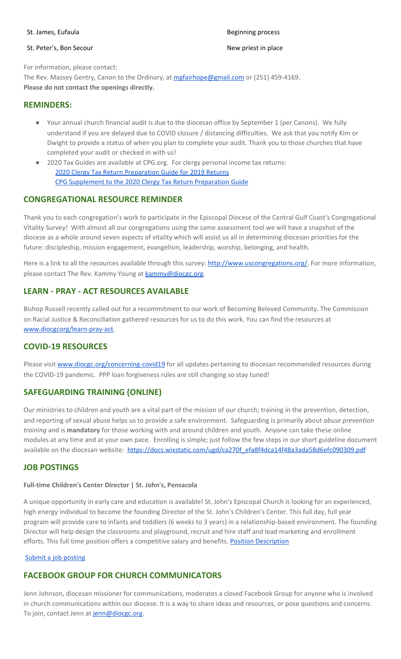#### St. Peter's, Bon Secour New priest in place

#### St. James, Eufaula Beginning process and the state of the Beginning process and the Beginning process

For information, please contact: The Rev. Massey Gentry, Canon to the Ordinary, at [mgfairhope@gmail.com](mailto:mgfairhope@gmail.com) or (251) 459-4169. **Please do not contact the openings directly.**

#### **REMINDERS:**

- Your annual church financial audit is due to the diocesan office by September 1 (per Canons). We fully understand if you are delayed due to COVID closure / distancing difficulties. We ask that you notify Kim or Dwight to provide a status of when you plan to complete your audit. Thank you to those churches that have completed your audit or checked in with us!
- 2020 Tax Guides are available at CPG.org. For clergy personal income tax returns: 2020 Clergy Tax Return [Preparation](https://www.cpg.org/linkservid/D998735C-CE21-6189-EB815B133ECD868A/showMeta/0/?label=2020%20Clergy%20Tax%20Return%20Preparation%20Guide%20for%202019%20Tax%20Returns) Guide for 2019 Returns CPG [Supplement](https://www.cpg.org/linkservid/DA0301BC-D8CF-06D3-C4C6BAB106394432/showMeta/0/?label=Supplement%20to%20the%202020%20Clergy%20Tax%20Return%20Preparation%20Guide%20for%202019%20Returns) to the 2020 Clergy Tax Return Preparation Guide

#### **CONGREGATIONAL RESOURCE REMINDER**

Thank you to each congregation's work to participate in the Episcopal Diocese of the Central Gulf Coast's Congregational Vitality Survey! With almost all our congregations using the same assessment tool we will have a snapshot of the diocese as a whole around seven aspects of vitality which will assist us all in determining diocesan priorities for the future: discipleship, mission engagement, evangelism, leadership, worship, belonging, and health.

Here is a link to all the resources available through this survey: [http://www.uscongregations.org/.](http://www.uscongregations.org/) For more information, please contact The Rev. Kammy Young at [kammy@diocgc.org](mailto:kammy@diocgc.org).

### **LEARN - PRAY - ACT RESOURCES AVAILABLE**

Bishop Russell recently called out for a recommitment to our work of Becoming Beloved Community. The Commission on Racial Justice & Reconciliation gathered resources for us to do this work. You can find the resources at [www.diocgcorg/learn-pray-act.](http://www.diocgcorg/learn-pray-act)

#### **COVID-19 RESOURCES**

Please visit [www.diocgc.org/concerning-covid19](http://www.diocgc.org/concerning-covid19) for all updates pertaining to diocesan recommended resources during the COVID-19 pandemic. PPP loan forgiveness rules are still changing so stay tuned!

#### **SAFEGUARDING TRAINING (ONLINE)**

Our ministries to children and youth are a vital part of the mission of our church; training in the prevention, detection, and reporting of sexual abuse helps us to provide a safe environment. Safeguarding is primarily about *abuse prevention training* and is **mandatory** for those working with and around children and youth. Anyone can take these online modules at any time and at your own pace. Enrolling is simple; just follow the few steps in our short guideline document available on the diocesan website: [https://docs.wixstatic.com/ugd/ca270f\\_efa8f4dca14f48a3ada58d6efc090309.pdf](https://docs.wixstatic.com/ugd/ca270f_efa8f4dca14f48a3ada58d6efc090309.pdf)

#### **JOB POSTINGS**

#### **Full-time Children's Center Director | St. John's, Pensacola**

A unique opportunity in early care and education is available! St. John's Episcopal Church is looking for an experienced, high energy individual to become the founding Director of the St. John's Children's Center. This full day, full year program will provide care to infants and toddlers (6 weeks to 3 years) in a relationship-based environment. The founding Director will help design the classrooms and playground, recruit and hire staff and lead marketing and enrollment efforts. This full time position offers a competitive salary and benefits. Position [Description](https://files.constantcontact.com/77805af7001/18bf1eb9-855f-48d2-a362-aa299bfa46a4.docx)

#### Submit a job [posting](https://www.emailmeform.com/builder/form/0cZqC653GdH24p01aWQDfUh)

# **FACEBOOK GROUP FOR CHURCH COMMUNICATORS**

Jenn Johnson, diocesan missioner for communications, moderates a closed Facebook Group for anyone who is involved in church communications within our diocese. It is a way to share ideas and resources, or pose questions and concerns. To join, contact Jenn at [jenn@diocgc.org.](mailto:jenn@diocgc.org)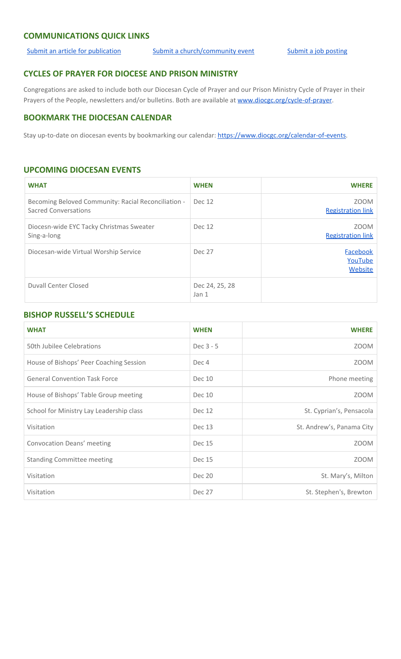#### **COMMUNICATIONS QUICK LINKS**

[Submit an article for publication](http://www.emailmeform.com/builder/form/XqOP984Ae60c8m6ynr) [Submit a church/community event](http://www.emailmeform.com/builder/form/eOM4Bb6VTb78y20Wrapf8) [Submit a job posting](https://www.emailmeform.com/builder/form/0cZqC653GdH24p01aWQDfUh)

# **CYCLES OF PRAYER FOR DIOCESE AND PRISON MINISTRY**

Congregations are asked to include both our Diocesan Cycle of Prayer and our Prison Ministry Cycle of Prayer in their Prayers of the People, newsletters and/or bulletins. Both are available at [www.diocgc.org/cycle-of-prayer.](http://www.diocgc.org/cycle-of-prayer)

# **BOOKMARK THE DIOCESAN CALENDAR**

Stay up-to-date on diocesan events by bookmarking our calendar: [https://www.diocgc.org/calendar-of-events.](https://www.diocgc.org/calendar-of-events)

# **UPCOMING DIOCESAN EVENTS**

| <b>WHAT</b>                                                                 | <b>WHEN</b>                        | <b>WHERE</b>                            |
|-----------------------------------------------------------------------------|------------------------------------|-----------------------------------------|
| Becoming Beloved Community: Racial Reconciliation -<br>Sacred Conversations | Dec 12                             | <b>ZOOM</b><br><b>Registration link</b> |
| Diocesn-wide EYC Tacky Christmas Sweater<br>Sing-a-long                     | <b>Dec 12</b>                      | <b>ZOOM</b><br><b>Registration link</b> |
| Diocesan-wide Virtual Worship Service                                       | <b>Dec 27</b>                      | Facebook<br>YouTube<br>Website          |
| <b>Duvall Center Closed</b>                                                 | Dec 24, 25, 28<br>Jan <sub>1</sub> |                                         |

#### **BISHOP RUSSELL'S SCHEDULE**

| <b>WHAT</b>                              | <b>WHEN</b>   | <b>WHERE</b>              |
|------------------------------------------|---------------|---------------------------|
| 50th Jubilee Celebrations                | Dec 3 - 5     | <b>ZOOM</b>               |
| House of Bishops' Peer Coaching Session  | Dec 4         | ZOOM                      |
| <b>General Convention Task Force</b>     | Dec 10        | Phone meeting             |
| House of Bishops' Table Group meeting    | Dec 10        | <b>ZOOM</b>               |
| School for Ministry Lay Leadership class | Dec 12        | St. Cyprian's, Pensacola  |
| Visitation                               | Dec 13        | St. Andrew's, Panama City |
| Convocation Deans' meeting               | Dec 15        | <b>ZOOM</b>               |
| <b>Standing Committee meeting</b>        | Dec 15        | <b>ZOOM</b>               |
| Visitation                               | <b>Dec 20</b> | St. Mary's, Milton        |
| Visitation                               | <b>Dec 27</b> | St. Stephen's, Brewton    |